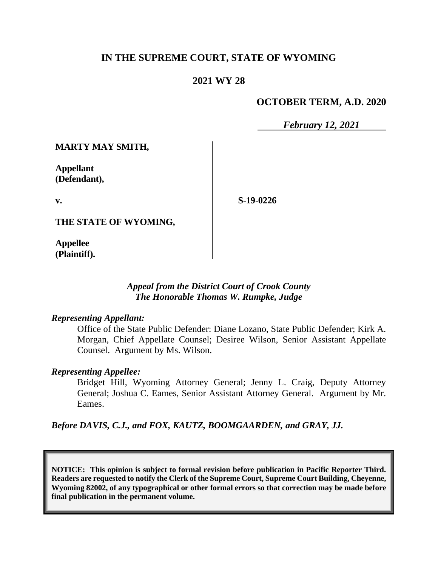## **IN THE SUPREME COURT, STATE OF WYOMING**

### **2021 WY 28**

#### **OCTOBER TERM, A.D. 2020**

*February 12, 2021*

**MARTY MAY SMITH,**

**Appellant (Defendant),**

**v.**

**S-19-0226**

**THE STATE OF WYOMING,**

**Appellee (Plaintiff).**

#### *Appeal from the District Court of Crook County The Honorable Thomas W. Rumpke, Judge*

#### *Representing Appellant:*

Office of the State Public Defender: Diane Lozano, State Public Defender; Kirk A. Morgan, Chief Appellate Counsel; Desiree Wilson, Senior Assistant Appellate Counsel. Argument by Ms. Wilson.

#### *Representing Appellee:*

Bridget Hill, Wyoming Attorney General; Jenny L. Craig, Deputy Attorney General; Joshua C. Eames, Senior Assistant Attorney General. Argument by Mr. Eames.

*Before DAVIS, C.J., and FOX, KAUTZ, BOOMGAARDEN, and GRAY, JJ.*

**NOTICE: This opinion is subject to formal revision before publication in Pacific Reporter Third. Readers are requested to notify the Clerk of the Supreme Court, Supreme Court Building, Cheyenne, Wyoming 82002, of any typographical or other formal errors so that correction may be made before final publication in the permanent volume.**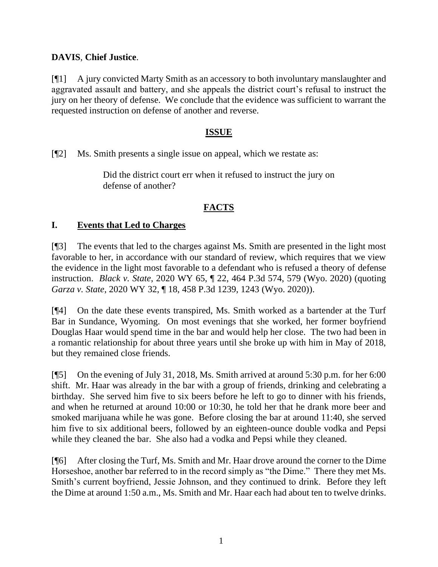## **DAVIS**, **Chief Justice**.

[¶1] A jury convicted Marty Smith as an accessory to both involuntary manslaughter and aggravated assault and battery, and she appeals the district court's refusal to instruct the jury on her theory of defense. We conclude that the evidence was sufficient to warrant the requested instruction on defense of another and reverse.

### **ISSUE**

[¶2] Ms. Smith presents a single issue on appeal, which we restate as:

Did the district court err when it refused to instruct the jury on defense of another?

## **FACTS**

### **I. Events that Led to Charges**

[¶3] The events that led to the charges against Ms. Smith are presented in the light most favorable to her, in accordance with our standard of review, which requires that we view the evidence in the light most favorable to a defendant who is refused a theory of defense instruction. *Black v. State*, 2020 WY 65, ¶ 22, 464 P.3d 574, 579 (Wyo. 2020) (quoting *Garza v. State*[, 2020 WY 32, ¶ 18, 458 P.3d 1239, 1243 \(Wyo. 2020\)\)](http://www.westlaw.com/Link/Document/FullText?findType=Y&serNum=2050496460&pubNum=0004645&originatingDoc=I86a75a20a13311ea9e229b5f182c9c44&refType=RP&fi=co_pp_sp_4645_1243&originationContext=document&vr=3.0&rs=cblt1.0&transitionType=DocumentItem&contextData=(sc.Search)#co_pp_sp_4645_1243).

[¶4] On the date these events transpired, Ms. Smith worked as a bartender at the Turf Bar in Sundance, Wyoming. On most evenings that she worked, her former boyfriend Douglas Haar would spend time in the bar and would help her close. The two had been in a romantic relationship for about three years until she broke up with him in May of 2018, but they remained close friends.

[¶5] On the evening of July 31, 2018, Ms. Smith arrived at around 5:30 p.m. for her 6:00 shift. Mr. Haar was already in the bar with a group of friends, drinking and celebrating a birthday. She served him five to six beers before he left to go to dinner with his friends, and when he returned at around 10:00 or 10:30, he told her that he drank more beer and smoked marijuana while he was gone. Before closing the bar at around 11:40, she served him five to six additional beers, followed by an eighteen-ounce double vodka and Pepsi while they cleaned the bar. She also had a vodka and Pepsi while they cleaned.

[¶6] After closing the Turf, Ms. Smith and Mr. Haar drove around the corner to the Dime Horseshoe, another bar referred to in the record simply as "the Dime." There they met Ms. Smith's current boyfriend, Jessie Johnson, and they continued to drink. Before they left the Dime at around 1:50 a.m., Ms. Smith and Mr. Haar each had about ten to twelve drinks.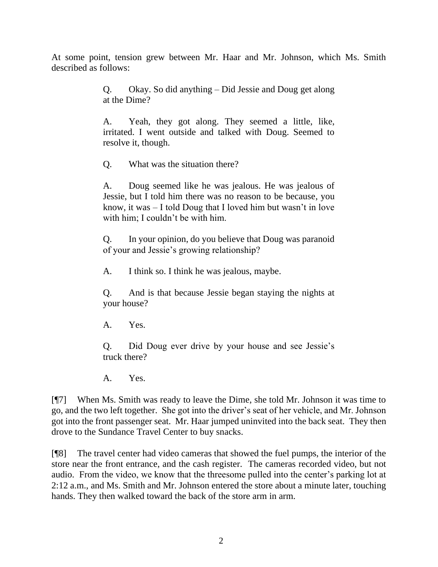At some point, tension grew between Mr. Haar and Mr. Johnson, which Ms. Smith described as follows:

> Q. Okay. So did anything – Did Jessie and Doug get along at the Dime?

> A. Yeah, they got along. They seemed a little, like, irritated. I went outside and talked with Doug. Seemed to resolve it, though.

Q. What was the situation there?

A. Doug seemed like he was jealous. He was jealous of Jessie, but I told him there was no reason to be because, you know, it was – I told Doug that I loved him but wasn't in love with him; I couldn't be with him.

Q. In your opinion, do you believe that Doug was paranoid of your and Jessie's growing relationship?

A. I think so. I think he was jealous, maybe.

Q. And is that because Jessie began staying the nights at your house?

A. Yes.

Q. Did Doug ever drive by your house and see Jessie's truck there?

A. Yes.

[¶7] When Ms. Smith was ready to leave the Dime, she told Mr. Johnson it was time to go, and the two left together. She got into the driver's seat of her vehicle, and Mr. Johnson got into the front passenger seat. Mr. Haar jumped uninvited into the back seat. They then drove to the Sundance Travel Center to buy snacks.

[¶8] The travel center had video cameras that showed the fuel pumps, the interior of the store near the front entrance, and the cash register. The cameras recorded video, but not audio. From the video, we know that the threesome pulled into the center's parking lot at 2:12 a.m., and Ms. Smith and Mr. Johnson entered the store about a minute later, touching hands. They then walked toward the back of the store arm in arm.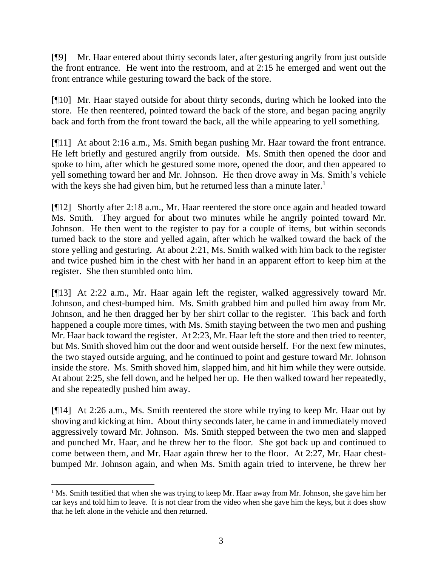[¶9] Mr. Haar entered about thirty seconds later, after gesturing angrily from just outside the front entrance. He went into the restroom, and at 2:15 he emerged and went out the front entrance while gesturing toward the back of the store.

[¶10] Mr. Haar stayed outside for about thirty seconds, during which he looked into the store. He then reentered, pointed toward the back of the store, and began pacing angrily back and forth from the front toward the back, all the while appearing to yell something.

[¶11] At about 2:16 a.m., Ms. Smith began pushing Mr. Haar toward the front entrance. He left briefly and gestured angrily from outside. Ms. Smith then opened the door and spoke to him, after which he gestured some more, opened the door, and then appeared to yell something toward her and Mr. Johnson. He then drove away in Ms. Smith's vehicle with the keys she had given him, but he returned less than a minute later.<sup>1</sup>

[¶12] Shortly after 2:18 a.m., Mr. Haar reentered the store once again and headed toward Ms. Smith. They argued for about two minutes while he angrily pointed toward Mr. Johnson. He then went to the register to pay for a couple of items, but within seconds turned back to the store and yelled again, after which he walked toward the back of the store yelling and gesturing. At about 2:21, Ms. Smith walked with him back to the register and twice pushed him in the chest with her hand in an apparent effort to keep him at the register. She then stumbled onto him.

[¶13] At 2:22 a.m., Mr. Haar again left the register, walked aggressively toward Mr. Johnson, and chest-bumped him. Ms. Smith grabbed him and pulled him away from Mr. Johnson, and he then dragged her by her shirt collar to the register. This back and forth happened a couple more times, with Ms. Smith staying between the two men and pushing Mr. Haar back toward the register. At 2:23, Mr. Haar left the store and then tried to reenter, but Ms. Smith shoved him out the door and went outside herself. For the next few minutes, the two stayed outside arguing, and he continued to point and gesture toward Mr. Johnson inside the store. Ms. Smith shoved him, slapped him, and hit him while they were outside. At about 2:25, she fell down, and he helped her up. He then walked toward her repeatedly, and she repeatedly pushed him away.

[¶14] At 2:26 a.m., Ms. Smith reentered the store while trying to keep Mr. Haar out by shoving and kicking at him. About thirty seconds later, he came in and immediately moved aggressively toward Mr. Johnson. Ms. Smith stepped between the two men and slapped and punched Mr. Haar, and he threw her to the floor. She got back up and continued to come between them, and Mr. Haar again threw her to the floor. At 2:27, Mr. Haar chestbumped Mr. Johnson again, and when Ms. Smith again tried to intervene, he threw her

<sup>&</sup>lt;sup>1</sup> Ms. Smith testified that when she was trying to keep Mr. Haar away from Mr. Johnson, she gave him her car keys and told him to leave. It is not clear from the video when she gave him the keys, but it does show that he left alone in the vehicle and then returned.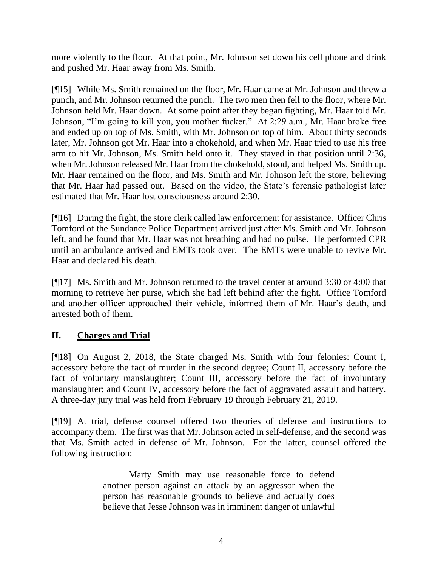more violently to the floor. At that point, Mr. Johnson set down his cell phone and drink and pushed Mr. Haar away from Ms. Smith.

[¶15] While Ms. Smith remained on the floor, Mr. Haar came at Mr. Johnson and threw a punch, and Mr. Johnson returned the punch. The two men then fell to the floor, where Mr. Johnson held Mr. Haar down. At some point after they began fighting, Mr. Haar told Mr. Johnson, "I'm going to kill you, you mother fucker." At 2:29 a.m., Mr. Haar broke free and ended up on top of Ms. Smith, with Mr. Johnson on top of him. About thirty seconds later, Mr. Johnson got Mr. Haar into a chokehold, and when Mr. Haar tried to use his free arm to hit Mr. Johnson, Ms. Smith held onto it. They stayed in that position until 2:36, when Mr. Johnson released Mr. Haar from the chokehold, stood, and helped Ms. Smith up. Mr. Haar remained on the floor, and Ms. Smith and Mr. Johnson left the store, believing that Mr. Haar had passed out. Based on the video, the State's forensic pathologist later estimated that Mr. Haar lost consciousness around 2:30.

[¶16] During the fight, the store clerk called law enforcement for assistance. Officer Chris Tomford of the Sundance Police Department arrived just after Ms. Smith and Mr. Johnson left, and he found that Mr. Haar was not breathing and had no pulse. He performed CPR until an ambulance arrived and EMTs took over. The EMTs were unable to revive Mr. Haar and declared his death.

[¶17] Ms. Smith and Mr. Johnson returned to the travel center at around 3:30 or 4:00 that morning to retrieve her purse, which she had left behind after the fight. Office Tomford and another officer approached their vehicle, informed them of Mr. Haar's death, and arrested both of them.

## **II. Charges and Trial**

[¶18] On August 2, 2018, the State charged Ms. Smith with four felonies: Count I, accessory before the fact of murder in the second degree; Count II, accessory before the fact of voluntary manslaughter; Count III, accessory before the fact of involuntary manslaughter; and Count IV, accessory before the fact of aggravated assault and battery. A three-day jury trial was held from February 19 through February 21, 2019.

[¶19] At trial, defense counsel offered two theories of defense and instructions to accompany them. The first was that Mr. Johnson acted in self-defense, and the second was that Ms. Smith acted in defense of Mr. Johnson. For the latter, counsel offered the following instruction:

> Marty Smith may use reasonable force to defend another person against an attack by an aggressor when the person has reasonable grounds to believe and actually does believe that Jesse Johnson was in imminent danger of unlawful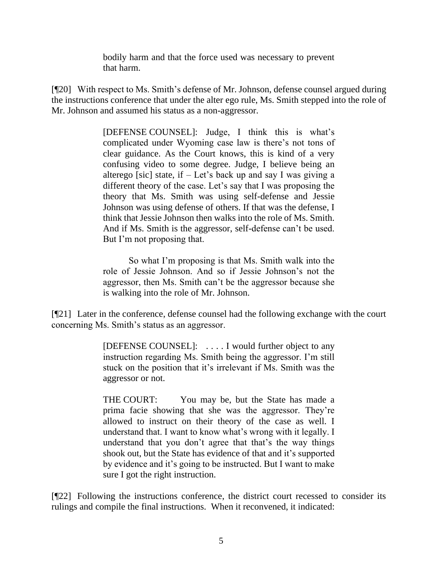bodily harm and that the force used was necessary to prevent that harm.

[¶20] With respect to Ms. Smith's defense of Mr. Johnson, defense counsel argued during the instructions conference that under the alter ego rule, Ms. Smith stepped into the role of Mr. Johnson and assumed his status as a non-aggressor.

> [DEFENSE COUNSEL]: Judge, I think this is what's complicated under Wyoming case law is there's not tons of clear guidance. As the Court knows, this is kind of a very confusing video to some degree. Judge, I believe being an alterego [sic] state, if  $-$  Let's back up and say I was giving a different theory of the case. Let's say that I was proposing the theory that Ms. Smith was using self-defense and Jessie Johnson was using defense of others. If that was the defense, I think that Jessie Johnson then walks into the role of Ms. Smith. And if Ms. Smith is the aggressor, self-defense can't be used. But I'm not proposing that.

> So what I'm proposing is that Ms. Smith walk into the role of Jessie Johnson. And so if Jessie Johnson's not the aggressor, then Ms. Smith can't be the aggressor because she is walking into the role of Mr. Johnson.

[¶21] Later in the conference, defense counsel had the following exchange with the court concerning Ms. Smith's status as an aggressor.

> [DEFENSE COUNSEL]: . . . . I would further object to any instruction regarding Ms. Smith being the aggressor. I'm still stuck on the position that it's irrelevant if Ms. Smith was the aggressor or not.

> THE COURT: You may be, but the State has made a prima facie showing that she was the aggressor. They're allowed to instruct on their theory of the case as well. I understand that. I want to know what's wrong with it legally. I understand that you don't agree that that's the way things shook out, but the State has evidence of that and it's supported by evidence and it's going to be instructed. But I want to make sure I got the right instruction.

[¶22] Following the instructions conference, the district court recessed to consider its rulings and compile the final instructions. When it reconvened, it indicated: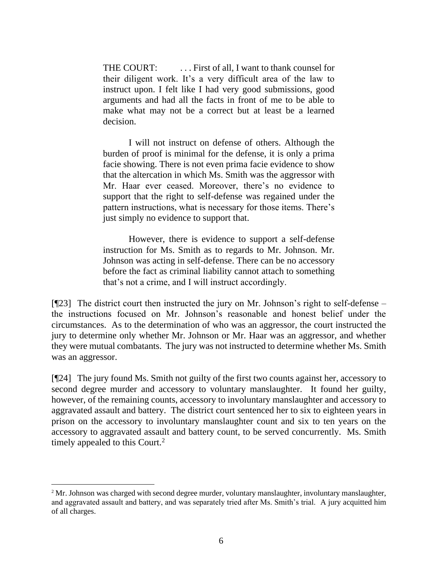THE COURT: ... First of all, I want to thank counsel for their diligent work. It's a very difficult area of the law to instruct upon. I felt like I had very good submissions, good arguments and had all the facts in front of me to be able to make what may not be a correct but at least be a learned decision.

I will not instruct on defense of others. Although the burden of proof is minimal for the defense, it is only a prima facie showing. There is not even prima facie evidence to show that the altercation in which Ms. Smith was the aggressor with Mr. Haar ever ceased. Moreover, there's no evidence to support that the right to self-defense was regained under the pattern instructions, what is necessary for those items. There's just simply no evidence to support that.

However, there is evidence to support a self-defense instruction for Ms. Smith as to regards to Mr. Johnson. Mr. Johnson was acting in self-defense. There can be no accessory before the fact as criminal liability cannot attach to something that's not a crime, and I will instruct accordingly.

[¶23] The district court then instructed the jury on Mr. Johnson's right to self-defense – the instructions focused on Mr. Johnson's reasonable and honest belief under the circumstances. As to the determination of who was an aggressor, the court instructed the jury to determine only whether Mr. Johnson or Mr. Haar was an aggressor, and whether they were mutual combatants. The jury was not instructed to determine whether Ms. Smith was an aggressor.

[¶24] The jury found Ms. Smith not guilty of the first two counts against her, accessory to second degree murder and accessory to voluntary manslaughter. It found her guilty, however, of the remaining counts, accessory to involuntary manslaughter and accessory to aggravated assault and battery. The district court sentenced her to six to eighteen years in prison on the accessory to involuntary manslaughter count and six to ten years on the accessory to aggravated assault and battery count, to be served concurrently. Ms. Smith timely appealed to this Court.<sup>2</sup>

<sup>&</sup>lt;sup>2</sup> Mr. Johnson was charged with second degree murder, voluntary manslaughter, involuntary manslaughter, and aggravated assault and battery, and was separately tried after Ms. Smith's trial. A jury acquitted him of all charges.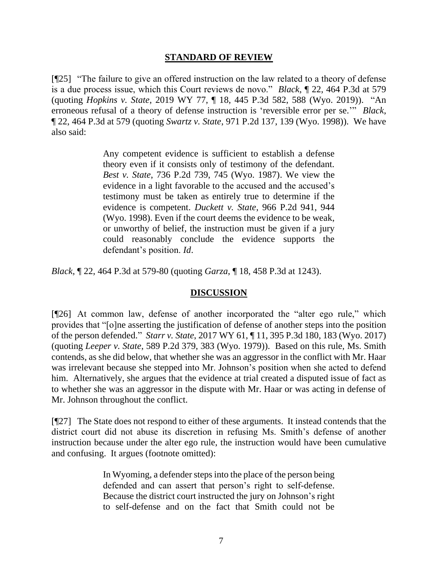#### **STANDARD OF REVIEW**

[¶25] "The failure to give an offered instruction on the law related to a theory of defense is a due process issue, which this Court reviews de novo." *Black*, ¶ 22, 464 P.3d at 579 (quoting *Hopkins v. State*[, 2019 WY 77, ¶ 18, 445 P.3d 582, 588 \(Wyo. 2019\)\)](http://www.westlaw.com/Link/Document/FullText?findType=Y&serNum=2048746660&pubNum=0004645&originatingDoc=I86a75a20a13311ea9e229b5f182c9c44&refType=RP&fi=co_pp_sp_4645_588&originationContext=document&vr=3.0&rs=cblt1.0&transitionType=DocumentItem&contextData=(sc.Search)#co_pp_sp_4645_588). "An erroneous refusal of a theory of defense instruction is 'reversible error per se.'" *Black*, ¶ 22, 464 P.3d at 579 (quoting *Swartz v. State*[, 971 P.2d 137, 139 \(Wyo. 1998\)\)](http://www.westlaw.com/Link/Document/FullText?findType=Y&serNum=1998256224&pubNum=0000661&originatingDoc=I86a75a20a13311ea9e229b5f182c9c44&refType=RP&fi=co_pp_sp_661_139&originationContext=document&vr=3.0&rs=cblt1.0&transitionType=DocumentItem&contextData=(sc.Search)#co_pp_sp_661_139). We have also said:

> Any competent evidence is sufficient to establish a defense theory even if it consists only of testimony of the defendant. *Best v. State*[, 736 P.2d 739, 745 \(Wyo. 1987\).](http://www.westlaw.com/Link/Document/FullText?findType=Y&serNum=1987059333&pubNum=0000661&originatingDoc=I86a75a20a13311ea9e229b5f182c9c44&refType=RP&fi=co_pp_sp_661_745&originationContext=document&vr=3.0&rs=cblt1.0&transitionType=DocumentItem&contextData=(sc.Search)#co_pp_sp_661_745) We view the evidence in a light favorable to the accused and the accused's testimony must be taken as entirely true to determine if the evidence is competent. *Duckett v. State*[, 966 P.2d 941, 944](http://www.westlaw.com/Link/Document/FullText?findType=Y&serNum=1998184646&pubNum=0000661&originatingDoc=I86a75a20a13311ea9e229b5f182c9c44&refType=RP&fi=co_pp_sp_661_944&originationContext=document&vr=3.0&rs=cblt1.0&transitionType=DocumentItem&contextData=(sc.Search)#co_pp_sp_661_944)  [\(Wyo. 1998\).](http://www.westlaw.com/Link/Document/FullText?findType=Y&serNum=1998184646&pubNum=0000661&originatingDoc=I86a75a20a13311ea9e229b5f182c9c44&refType=RP&fi=co_pp_sp_661_944&originationContext=document&vr=3.0&rs=cblt1.0&transitionType=DocumentItem&contextData=(sc.Search)#co_pp_sp_661_944) Even if the court deems the evidence to be weak, or unworthy of belief, the instruction must be given if a jury could reasonably conclude the evidence supports the defendant's position. *[Id](http://www.westlaw.com/Link/Document/FullText?findType=Y&serNum=1998184646&pubNum=0000661&originatingDoc=I86a75a20a13311ea9e229b5f182c9c44&refType=RP&originationContext=document&vr=3.0&rs=cblt1.0&transitionType=DocumentItem&contextData=(sc.Search))*.

*Black*, ¶ 22, 464 P.3d at 579-80 (quoting *Garza*[, ¶ 18, 458 P.3d at 1243\)](http://www.westlaw.com/Link/Document/FullText?findType=Y&serNum=2050496460&pubNum=0004645&originatingDoc=I86a75a20a13311ea9e229b5f182c9c44&refType=RP&fi=co_pp_sp_4645_1243&originationContext=document&vr=3.0&rs=cblt1.0&transitionType=DocumentItem&contextData=(sc.Search)#co_pp_sp_4645_1243).

### **DISCUSSION**

[¶26] At common law, defense of another incorporated the "alter ego rule," which provides that "[o]ne asserting the justification of defense of another steps into the position of the person defended." *Starr v. State*, 2017 WY 61, ¶ 11, 395 P.3d 180, 183 (Wyo. 2017) (quoting *Leeper v. State*[, 589 P.2d 379, 383 \(Wyo.](http://www.westlaw.com/Link/Document/FullText?findType=Y&serNum=1979104754&pubNum=0000661&originatingDoc=I5c7e7600412011e7b69fcb5ae0fb9a47&refType=RP&fi=co_pp_sp_661_383&originationContext=document&vr=3.0&rs=cblt1.0&transitionType=DocumentItem&contextData=(sc.DocLink)#co_pp_sp_661_383) 1979)). Based on this rule, Ms. Smith contends, as she did below, that whether she was an aggressor in the conflict with Mr. Haar was irrelevant because she stepped into Mr. Johnson's position when she acted to defend him. Alternatively, she argues that the evidence at trial created a disputed issue of fact as to whether she was an aggressor in the dispute with Mr. Haar or was acting in defense of Mr. Johnson throughout the conflict.

[¶27] The State does not respond to either of these arguments. It instead contends that the district court did not abuse its discretion in refusing Ms. Smith's defense of another instruction because under the alter ego rule, the instruction would have been cumulative and confusing. It argues (footnote omitted):

> In Wyoming, a defender steps into the place of the person being defended and can assert that person's right to self-defense. Because the district court instructed the jury on Johnson's right to self-defense and on the fact that Smith could not be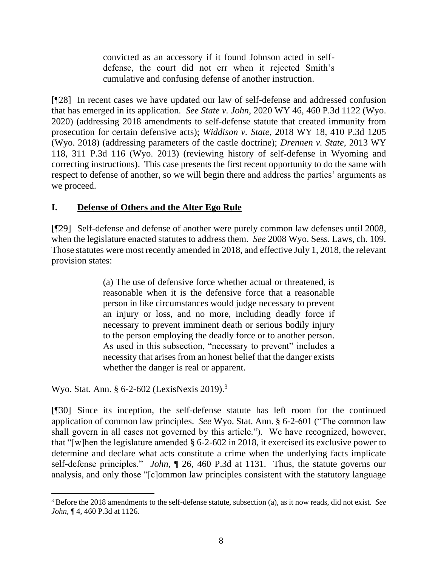convicted as an accessory if it found Johnson acted in selfdefense, the court did not err when it rejected Smith's cumulative and confusing defense of another instruction.

[¶28] In recent cases we have updated our law of self-defense and addressed confusion that has emerged in its application. *See State v. John*, 2020 WY 46, 460 P.3d 1122 (Wyo. 2020) (addressing 2018 amendments to self-defense statute that created immunity from prosecution for certain defensive acts); *Widdison v. State*, 2018 WY 18, 410 P.3d 1205 (Wyo. 2018) (addressing parameters of the castle doctrine); *Drennen v. State*, 2013 WY 118, 311 P.3d 116 (Wyo. 2013) (reviewing history of self-defense in Wyoming and correcting instructions). This case presents the first recent opportunity to do the same with respect to defense of another, so we will begin there and address the parties' arguments as we proceed.

## **I. Defense of Others and the Alter Ego Rule**

[¶29] Self-defense and defense of another were purely common law defenses until 2008, when the legislature enacted statutes to address them. *See* 2008 Wyo. Sess. Laws, ch. 109. Those statutes were most recently amended in 2018, and effective July 1, 2018, the relevant provision states:

> (a) The use of defensive force whether actual or threatened, is reasonable when it is the defensive force that a reasonable person in like circumstances would judge necessary to prevent an injury or loss, and no more, including deadly force if necessary to prevent imminent death or serious bodily injury to the person employing the deadly force or to another person. As used in this subsection, "necessary to prevent" includes a necessity that arises from an honest belief that the danger exists whether the danger is real or apparent.

Wyo. Stat. Ann. § 6-2-602 (LexisNexis 2019).<sup>3</sup>

[¶30] Since its inception, the self-defense statute has left room for the continued application of common law principles. *See* Wyo. Stat. Ann. § 6-2-601 ("The common law shall govern in all cases not governed by this article."). We have recognized, however, that "[w]hen the legislature amended [§ 6-2-602](http://www.westlaw.com/Link/Document/FullText?findType=L&pubNum=1000377&cite=WYSTS6-2-602&originatingDoc=Ie6d41570785a11eaafc9a4147037e074&refType=LQ&originationContext=document&vr=3.0&rs=cblt1.0&transitionType=DocumentItem&contextData=(sc.Search)) in 2018, it exercised its exclusive power to determine and declare what acts constitute a crime when the underlying facts implicate self-defense principles." *John*, ¶ 26, 460 P.3d at 1131. Thus, the statute governs our analysis, and only those "[c]ommon law principles consistent with the statutory language

<sup>3</sup> Before the 2018 amendments to the self-defense statute, subsection (a), as it now reads, did not exist. *See John*, ¶ 4, 460 P.3d at 1126.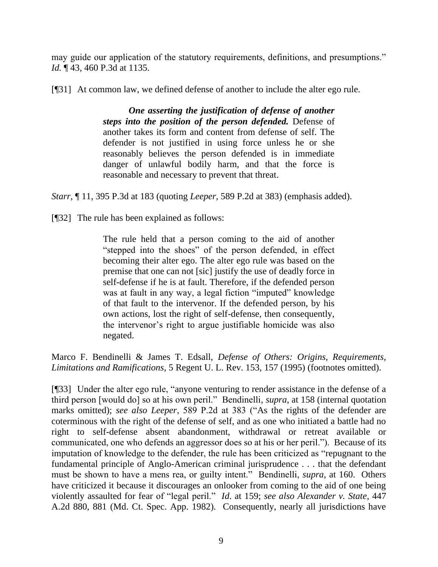may guide our application of the statutory requirements, definitions, and presumptions." *Id.* ¶ 43, 460 P.3d at 1135.

[¶31] At common law, we defined defense of another to include the alter ego rule.

*One asserting the justification of defense of another steps into the position of the person defended.* Defense of another takes its form and content from defense of self. The defender is not justified in using force unless he or she reasonably believes the person defended is in immediate danger of unlawful bodily harm, and that the force is reasonable and necessary to prevent that threat.

*Starr*, ¶ 11, 395 P.3d at 183 (quoting *Leeper*[, 589 P.2d at 383\)](http://www.westlaw.com/Link/Document/FullText?findType=Y&serNum=1979104754&pubNum=0000661&originatingDoc=I5c7e7600412011e7b69fcb5ae0fb9a47&refType=RP&fi=co_pp_sp_661_383&originationContext=document&vr=3.0&rs=cblt1.0&transitionType=DocumentItem&contextData=(sc.DocLink)#co_pp_sp_661_383) (emphasis added).

[¶32] The rule has been explained as follows:

The rule held that a person coming to the aid of another "stepped into the shoes" of the person defended, in effect becoming their alter ego. The alter ego rule was based on the premise that one can not [sic] justify the use of deadly force in self-defense if he is at fault. Therefore, if the defended person was at fault in any way, a legal fiction "imputed" knowledge of that fault to the intervenor. If the defended person, by his own actions, lost the right of self-defense, then consequently, the intervenor's right to argue justifiable homicide was also negated.

Marco F. Bendinelli & James T. Edsall, *Defense of Others: Origins, Requirements, Limitations and Ramifications*, 5 Regent U. L. Rev. 153, 157 (1995) (footnotes omitted).

[¶33] Under the alter ego rule, "anyone venturing to render assistance in the defense of a third person [would do] so at his own peril." Bendinelli, *supra*, at 158 (internal quotation marks omitted); *see also Leeper*, 589 P.2d at 383 ("As the rights of the defender are coterminous with the right of the defense of self, and as one who initiated a battle had no right to self-defense absent abandonment, withdrawal or retreat available or communicated, one who defends an aggressor does so at his or her peril."). Because of its imputation of knowledge to the defender, the rule has been criticized as "repugnant to the fundamental principle of Anglo-American criminal jurisprudence . . . that the defendant must be shown to have a mens rea, or guilty intent." Bendinelli, *supra*, at 160. Others have criticized it because it discourages an onlooker from coming to the aid of one being violently assaulted for fear of "legal peril." *Id*. at 159; *see also Alexander v. State*, 447 A.2d 880, 881 (Md. Ct. Spec. App. 1982). Consequently, nearly all jurisdictions have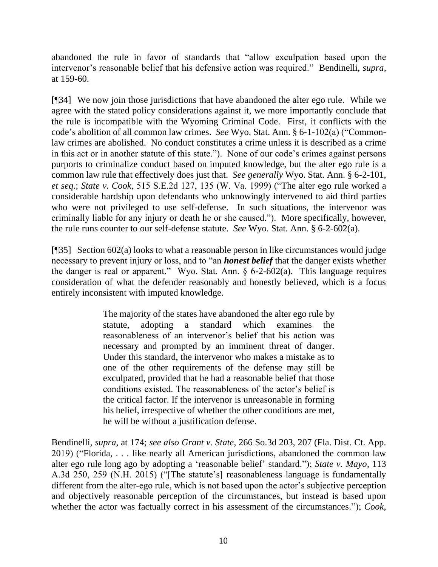abandoned the rule in favor of standards that "allow exculpation based upon the intervenor's reasonable belief that his defensive action was required." Bendinelli, *supra*, at 159-60.

[¶34] We now join those jurisdictions that have abandoned the alter ego rule. While we agree with the stated policy considerations against it, we more importantly conclude that the rule is incompatible with the Wyoming Criminal Code. First, it conflicts with the code's abolition of all common law crimes. *See* Wyo. Stat. Ann. § 6-1-102(a) ("Commonlaw crimes are abolished. No conduct constitutes a crime unless it is described as a crime in this act or in another statute of this state."). None of our code's crimes against persons purports to criminalize conduct based on imputed knowledge, but the alter ego rule is a common law rule that effectively does just that. *See generally* Wyo. Stat. Ann. § 6-2-101, *et seq*.; *State v. Cook*, 515 S.E.2d 127, 135 (W. Va. 1999) ("The alter ego rule worked a considerable hardship upon defendants who unknowingly intervened to aid third parties who were not privileged to use self-defense. In such situations, the intervenor was criminally liable for any injury or death he or she caused."). More specifically, however, the rule runs counter to our self-defense statute. *See* Wyo. Stat. Ann. § 6-2-602(a).

[¶35] Section 602(a) looks to what a reasonable person in like circumstances would judge necessary to prevent injury or loss, and to "an *honest belief* that the danger exists whether the danger is real or apparent." Wyo. Stat. Ann.  $\S$  6-2-602(a). This language requires consideration of what the defender reasonably and honestly believed, which is a focus entirely inconsistent with imputed knowledge.

> The majority of the states have abandoned the alter ego rule by statute, adopting a standard which examines the reasonableness of an intervenor's belief that his action was necessary and prompted by an imminent threat of danger. Under this standard, the intervenor who makes a mistake as to one of the other requirements of the defense may still be exculpated, provided that he had a reasonable belief that those conditions existed. The reasonableness of the actor's belief is the critical factor. If the intervenor is unreasonable in forming his belief, irrespective of whether the other conditions are met, he will be without a justification defense.

Bendinelli, *supra*, at 174; *see also Grant v. State*, 266 So.3d 203, 207 (Fla. Dist. Ct. App. 2019) ("Florida, . . . like nearly all American jurisdictions, abandoned the common law alter ego rule long ago by adopting a 'reasonable belief' standard."); *State v. Mayo*, 113 A.3d 250, 259 (N.H. 2015) ("[The statute's] reasonableness language is fundamentally different from the alter-ego rule, which is not based upon the actor's subjective perception and objectively reasonable perception of the circumstances, but instead is based upon whether the actor was factually correct in his assessment of the circumstances."); *Cook*,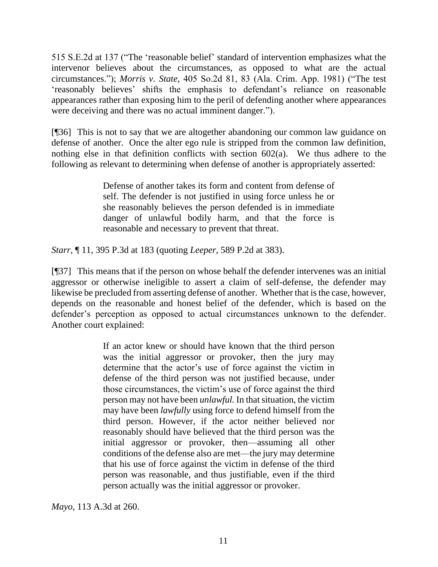515 S.E.2d at 137 ("The 'reasonable belief' standard of intervention emphasizes what the intervenor believes about the circumstances, as opposed to what are the actual circumstances."); *Morris v. State*, 405 So.2d 81, 83 (Ala. Crim. App. 1981) ("The test 'reasonably believes' shifts the emphasis to defendant's reliance on reasonable appearances rather than exposing him to the peril of defending another where appearances were deceiving and there was no actual imminent danger.").

[¶36] This is not to say that we are altogether abandoning our common law guidance on defense of another. Once the alter ego rule is stripped from the common law definition, nothing else in that definition conflicts with section 602(a). We thus adhere to the following as relevant to determining when defense of another is appropriately asserted:

> Defense of another takes its form and content from defense of self. The defender is not justified in using force unless he or she reasonably believes the person defended is in immediate danger of unlawful bodily harm, and that the force is reasonable and necessary to prevent that threat.

*Starr*, ¶ 11, 395 P.3d at 183 (quoting *Leeper*, 589 P.2d at 383).

[¶37] This means that if the person on whose behalf the defender intervenes was an initial aggressor or otherwise ineligible to assert a claim of self-defense, the defender may likewise be precluded from asserting defense of another. Whether that is the case, however, depends on the reasonable and honest belief of the defender, which is based on the defender's perception as opposed to actual circumstances unknown to the defender. Another court explained:

> If an actor knew or should have known that the third person was the initial aggressor or provoker, then the jury may determine that the actor's use of force against the victim in defense of the third person was not justified because, under those circumstances, the victim's use of force against the third person may not have been *unlawful.* In that situation, the victim may have been *lawfully* using force to defend himself from the third person. However, if the actor neither believed nor reasonably should have believed that the third person was the initial aggressor or provoker, then—assuming all other conditions of the defense also are met—the jury may determine that his use of force against the victim in defense of the third person was reasonable, and thus justifiable, even if the third person actually was the initial aggressor or provoker.

*Mayo*, 113 A.3d at 260.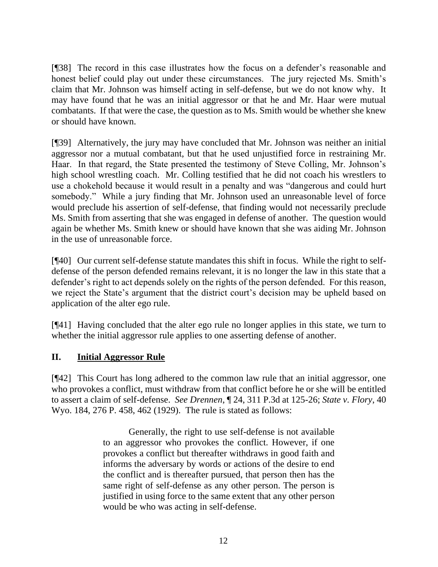[¶38] The record in this case illustrates how the focus on a defender's reasonable and honest belief could play out under these circumstances. The jury rejected Ms. Smith's claim that Mr. Johnson was himself acting in self-defense, but we do not know why. It may have found that he was an initial aggressor or that he and Mr. Haar were mutual combatants. If that were the case, the question as to Ms. Smith would be whether she knew or should have known.

[¶39] Alternatively, the jury may have concluded that Mr. Johnson was neither an initial aggressor nor a mutual combatant, but that he used unjustified force in restraining Mr. Haar. In that regard, the State presented the testimony of Steve Colling, Mr. Johnson's high school wrestling coach. Mr. Colling testified that he did not coach his wrestlers to use a chokehold because it would result in a penalty and was "dangerous and could hurt somebody." While a jury finding that Mr. Johnson used an unreasonable level of force would preclude his assertion of self-defense, that finding would not necessarily preclude Ms. Smith from asserting that she was engaged in defense of another. The question would again be whether Ms. Smith knew or should have known that she was aiding Mr. Johnson in the use of unreasonable force.

[¶40] Our current self-defense statute mandates this shift in focus. While the right to selfdefense of the person defended remains relevant, it is no longer the law in this state that a defender's right to act depends solely on the rights of the person defended. For this reason, we reject the State's argument that the district court's decision may be upheld based on application of the alter ego rule.

[¶41] Having concluded that the alter ego rule no longer applies in this state, we turn to whether the initial aggressor rule applies to one asserting defense of another.

## **II. Initial Aggressor Rule**

[¶42] This Court has long adhered to the common law rule that an initial aggressor, one who provokes a conflict, must withdraw from that conflict before he or she will be entitled to assert a claim of self-defense. *See Drennen*, ¶ 24, 311 P.3d at 125-26; *State v. Flory*, 40 Wyo. 184, 276 P. 458, 462 (1929). The rule is stated as follows:

> Generally, the right to use self-defense is not available to an aggressor who provokes the conflict. However, if one provokes a conflict but thereafter withdraws in good faith and informs the adversary by words or actions of the desire to end the conflict and is thereafter pursued, that person then has the same right of self-defense as any other person. The person is justified in using force to the same extent that any other person would be who was acting in self-defense.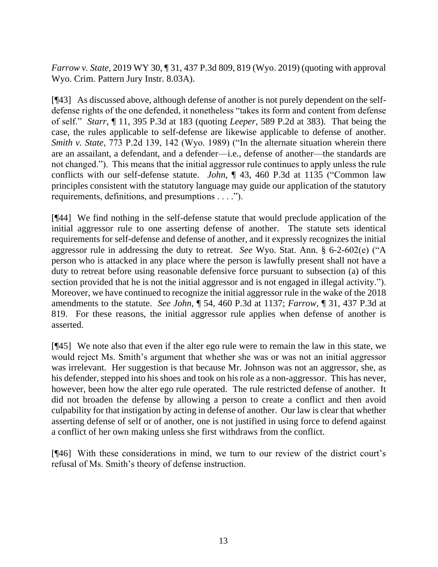*Farrow v. State*, 2019 WY 30, ¶ 31, 437 P.3d 809, 819 (Wyo. 2019) (quoting with approval Wyo. Crim. Pattern Jury Instr. 8.03A).

[¶43] As discussed above, although defense of another is not purely dependent on the selfdefense rights of the one defended, it nonetheless "takes its form and content from defense of self." *Starr*, ¶ 11, 395 P.3d at 183 (quoting *Leeper*[, 589 P.2d at 383\).](http://www.westlaw.com/Link/Document/FullText?findType=Y&serNum=1979104754&pubNum=0000661&originatingDoc=I5c7e7600412011e7b69fcb5ae0fb9a47&refType=RP&fi=co_pp_sp_661_383&originationContext=document&vr=3.0&rs=cblt1.0&transitionType=DocumentItem&contextData=(sc.DocLink)#co_pp_sp_661_383) That being the case, the rules applicable to self-defense are likewise applicable to defense of another. *Smith v. State*, 773 P.2d 139, 142 (Wyo. 1989) ("In the alternate situation wherein there are an assailant, a defendant, and a defender—i.e., defense of another—the standards are not changed."). This means that the initial aggressor rule continues to apply unless the rule conflicts with our self-defense statute. *John*, ¶ 43, 460 P.3d at 1135 ("Common law principles consistent with the statutory language may guide our application of the statutory requirements, definitions, and presumptions . . . .").

[¶44] We find nothing in the self-defense statute that would preclude application of the initial aggressor rule to one asserting defense of another. The statute sets identical requirements for self-defense and defense of another, and it expressly recognizes the initial aggressor rule in addressing the duty to retreat. *See* Wyo. Stat. Ann. § 6-2-602(e) ("A person who is attacked in any place where the person is lawfully present shall not have a duty to retreat before using reasonable defensive force pursuant to subsection (a) of this section provided that he is not the initial aggressor and is not engaged in illegal activity."). Moreover, we have continued to recognize the initial aggressor rule in the wake of the 2018 amendments to the statute. *See John*, ¶ 54, 460 P.3d at 1137; *Farrow*, ¶ 31, 437 P.3d at 819. For these reasons, the initial aggressor rule applies when defense of another is asserted.

[¶45] We note also that even if the alter ego rule were to remain the law in this state, we would reject Ms. Smith's argument that whether she was or was not an initial aggressor was irrelevant. Her suggestion is that because Mr. Johnson was not an aggressor, she, as his defender, stepped into his shoes and took on his role as a non-aggressor. This has never, however, been how the alter ego rule operated. The rule restricted defense of another. It did not broaden the defense by allowing a person to create a conflict and then avoid culpability for that instigation by acting in defense of another. Our law is clear that whether asserting defense of self or of another, one is not justified in using force to defend against a conflict of her own making unless she first withdraws from the conflict.

[¶46] With these considerations in mind, we turn to our review of the district court's refusal of Ms. Smith's theory of defense instruction.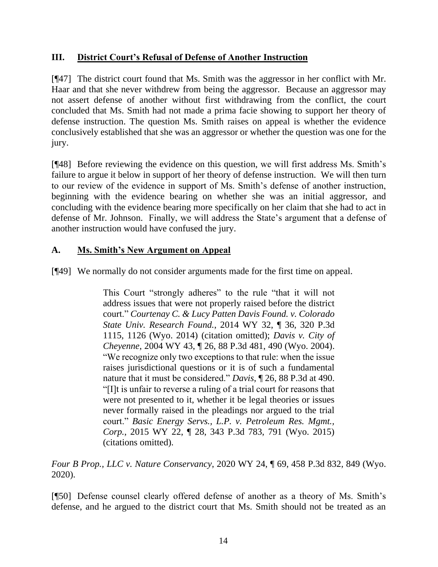## **III. District Court's Refusal of Defense of Another Instruction**

[¶47] The district court found that Ms. Smith was the aggressor in her conflict with Mr. Haar and that she never withdrew from being the aggressor. Because an aggressor may not assert defense of another without first withdrawing from the conflict, the court concluded that Ms. Smith had not made a prima facie showing to support her theory of defense instruction. The question Ms. Smith raises on appeal is whether the evidence conclusively established that she was an aggressor or whether the question was one for the jury.

[¶48] Before reviewing the evidence on this question, we will first address Ms. Smith's failure to argue it below in support of her theory of defense instruction. We will then turn to our review of the evidence in support of Ms. Smith's defense of another instruction, beginning with the evidence bearing on whether she was an initial aggressor, and concluding with the evidence bearing more specifically on her claim that she had to act in defense of Mr. Johnson. Finally, we will address the State's argument that a defense of another instruction would have confused the jury.

## **A. Ms. Smith's New Argument on Appeal**

[¶49] We normally do not consider arguments made for the first time on appeal.

This Court "strongly adheres" to the rule "that it will not address issues that were not properly raised before the district court." *[Courtenay C. & Lucy Patten Davis Found. v. Colorado](http://www.westlaw.com/Link/Document/FullText?findType=Y&serNum=2032830310&pubNum=0004645&originatingDoc=I8bd81b00550311eab6f7ee986760d6bc&refType=RP&fi=co_pp_sp_4645_1126&originationContext=document&vr=3.0&rs=cblt1.0&transitionType=DocumentItem&contextData=(sc.Search)#co_pp_sp_4645_1126)  State Univ. Research Found.*[, 2014 WY 32, ¶ 36, 320 P.3d](http://www.westlaw.com/Link/Document/FullText?findType=Y&serNum=2032830310&pubNum=0004645&originatingDoc=I8bd81b00550311eab6f7ee986760d6bc&refType=RP&fi=co_pp_sp_4645_1126&originationContext=document&vr=3.0&rs=cblt1.0&transitionType=DocumentItem&contextData=(sc.Search)#co_pp_sp_4645_1126)  [1115, 1126 \(Wyo. 2014\)](http://www.westlaw.com/Link/Document/FullText?findType=Y&serNum=2032830310&pubNum=0004645&originatingDoc=I8bd81b00550311eab6f7ee986760d6bc&refType=RP&fi=co_pp_sp_4645_1126&originationContext=document&vr=3.0&rs=cblt1.0&transitionType=DocumentItem&contextData=(sc.Search)#co_pp_sp_4645_1126) (citation omitted); *[Davis v. City of](http://www.westlaw.com/Link/Document/FullText?findType=Y&serNum=2004343473&pubNum=0004645&originatingDoc=I8bd81b00550311eab6f7ee986760d6bc&refType=RP&fi=co_pp_sp_4645_490&originationContext=document&vr=3.0&rs=cblt1.0&transitionType=DocumentItem&contextData=(sc.Search)#co_pp_sp_4645_490)  Cheyenne*[, 2004 WY 43, ¶ 26, 88 P.3d 481, 490 \(Wyo. 2004\).](http://www.westlaw.com/Link/Document/FullText?findType=Y&serNum=2004343473&pubNum=0004645&originatingDoc=I8bd81b00550311eab6f7ee986760d6bc&refType=RP&fi=co_pp_sp_4645_490&originationContext=document&vr=3.0&rs=cblt1.0&transitionType=DocumentItem&contextData=(sc.Search)#co_pp_sp_4645_490) "We recognize only two exceptions to that rule: when the issue raises jurisdictional questions or it is of such a fundamental nature that it must be considered." *Davis*[, ¶ 26, 88 P.3d at 490.](http://www.westlaw.com/Link/Document/FullText?findType=Y&serNum=2004343473&pubNum=0004645&originatingDoc=I8bd81b00550311eab6f7ee986760d6bc&refType=RP&fi=co_pp_sp_4645_490&originationContext=document&vr=3.0&rs=cblt1.0&transitionType=DocumentItem&contextData=(sc.Search)#co_pp_sp_4645_490) "[I]t is unfair to reverse a ruling of a trial court for reasons that were not presented to it, whether it be legal theories or issues never formally raised in the pleadings nor argued to the trial court." *[Basic Energy Servs., L.P. v. Petroleum Res. Mgmt.,](http://www.westlaw.com/Link/Document/FullText?findType=Y&serNum=2036063844&pubNum=0004645&originatingDoc=I8bd81b00550311eab6f7ee986760d6bc&refType=RP&fi=co_pp_sp_4645_791&originationContext=document&vr=3.0&rs=cblt1.0&transitionType=DocumentItem&contextData=(sc.Search)#co_pp_sp_4645_791)  Corp.*[, 2015 WY 22, ¶ 28, 343 P.3d 783, 791 \(Wyo. 2015\)](http://www.westlaw.com/Link/Document/FullText?findType=Y&serNum=2036063844&pubNum=0004645&originatingDoc=I8bd81b00550311eab6f7ee986760d6bc&refType=RP&fi=co_pp_sp_4645_791&originationContext=document&vr=3.0&rs=cblt1.0&transitionType=DocumentItem&contextData=(sc.Search)#co_pp_sp_4645_791) (citations omitted).

*Four B Prop., LLC v. Nature Conservancy*, 2020 WY 24, ¶ 69, 458 P.3d 832, 849 (Wyo. 2020).

[¶50] Defense counsel clearly offered defense of another as a theory of Ms. Smith's defense, and he argued to the district court that Ms. Smith should not be treated as an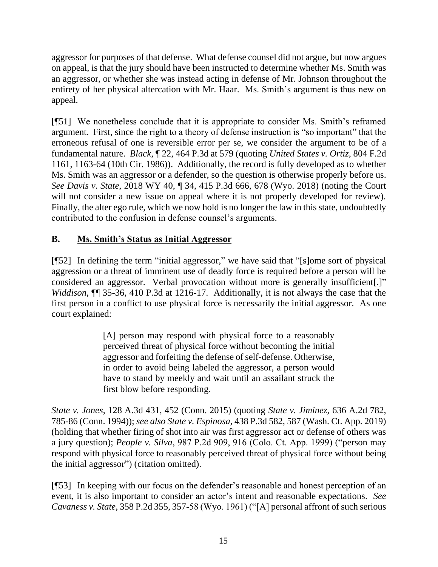aggressor for purposes of that defense. What defense counsel did not argue, but now argues on appeal, is that the jury should have been instructed to determine whether Ms. Smith was an aggressor, or whether she was instead acting in defense of Mr. Johnson throughout the entirety of her physical altercation with Mr. Haar. Ms. Smith's argument is thus new on appeal.

[¶51] We nonetheless conclude that it is appropriate to consider Ms. Smith's reframed argument. First, since the right to a theory of defense instruction is "so important" that the erroneous refusal of one is reversible error per se, we consider the argument to be of a fundamental nature. *Black*, ¶ 22, 464 P.3d at 579 (quoting *[United States v. Ortiz](http://www.westlaw.com/Link/Document/FullText?findType=Y&serNum=1986154875&pubNum=0000350&originatingDoc=I86a75a20a13311ea9e229b5f182c9c44&refType=RP&fi=co_pp_sp_350_1163&originationContext=document&vr=3.0&rs=cblt1.0&transitionType=DocumentItem&contextData=(sc.Search)#co_pp_sp_350_1163)*, 804 F.2d [1161, 1163-64 \(10th Cir. 1986\)\)](http://www.westlaw.com/Link/Document/FullText?findType=Y&serNum=1986154875&pubNum=0000350&originatingDoc=I86a75a20a13311ea9e229b5f182c9c44&refType=RP&fi=co_pp_sp_350_1163&originationContext=document&vr=3.0&rs=cblt1.0&transitionType=DocumentItem&contextData=(sc.Search)#co_pp_sp_350_1163). Additionally, the record is fully developed as to whether Ms. Smith was an aggressor or a defender, so the question is otherwise properly before us. *See Davis v. State*, 2018 WY 40, ¶ 34, 415 P.3d 666, 678 (Wyo. 2018) (noting the Court will not consider a new issue on appeal where it is not properly developed for review). Finally, the alter ego rule, which we now hold is no longer the law in this state, undoubtedly contributed to the confusion in defense counsel's arguments.

# **B. Ms. Smith's Status as Initial Aggressor**

[¶52] In defining the term "initial aggressor," we have said that "[s]ome sort of physical aggression or a threat of imminent use of deadly force is required before a person will be considered an aggressor. Verbal provocation without more is generally insufficient[.]" *Widdison*, ¶¶ 35-36, 410 P.3d at 1216-17. Additionally, it is not always the case that the first person in a conflict to use physical force is necessarily the initial aggressor. As one court explained:

> [A] person may respond with physical force to a reasonably perceived threat of physical force without becoming the initial aggressor and forfeiting the defense of self-defense. Otherwise, in order to avoid being labeled the aggressor, a person would have to stand by meekly and wait until an assailant struck the first blow before responding.

*State v. Jones*, 128 A.3d 431, 452 (Conn. 2015) (quoting *State v. Jiminez*, 636 A.2d 782, 785-86 (Conn. 1994)); *see also State v. Espinosa*, 438 P.3d 582, 587 (Wash. Ct. App. 2019) (holding that whether firing of shot into air was first aggressor act or defense of others was a jury question); *People v. Silva*, 987 P.2d 909, 916 (Colo. Ct. App. 1999) ("person may respond with physical force to reasonably perceived threat of physical force without being the initial aggressor") (citation omitted).

[¶53] In keeping with our focus on the defender's reasonable and honest perception of an event, it is also important to consider an actor's intent and reasonable expectations. *See Cavaness v. State*, 358 P.2d 355, 357-58 (Wyo. 1961) ("[A] personal affront of such serious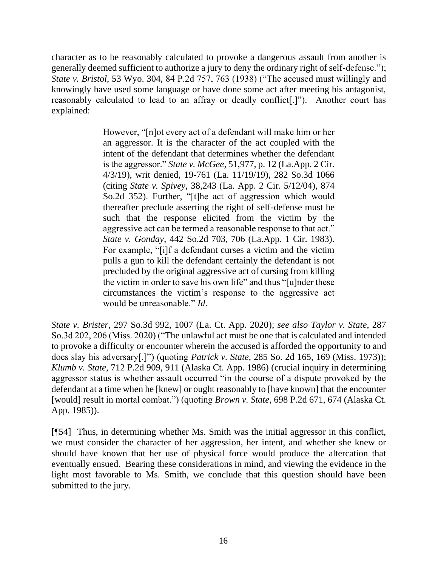character as to be reasonably calculated to provoke a dangerous assault from another is generally deemed sufficient to authorize a jury to deny the ordinary right of self-defense."); *State v. Bristol*, 53 Wyo. 304, 84 P.2d 757, 763 (1938) ("The accused must willingly and knowingly have used some language or have done some act after meeting his antagonist, reasonably calculated to lead to an affray or deadly conflict[.]"). Another court has explained:

> However, "[n]ot every act of a defendant will make him or her an aggressor. It is the character of the act coupled with the intent of the defendant that determines whether the defendant is the aggressor." *State v. McGee*[, 51,977, p. 12 \(La.App. 2 Cir.](http://www.westlaw.com/Link/Document/FullText?findType=Y&serNum=2047915488&pubNum=0004362&originatingDoc=I5cf5e7206c3411eab47fc33bf795b230&refType=RP&fi=co_pp_sp_4362_12&originationContext=document&vr=3.0&rs=cblt1.0&transitionType=DocumentItem&contextData=(sc.Keycite)#co_pp_sp_4362_12)  [4/3/19\),](http://www.westlaw.com/Link/Document/FullText?findType=Y&serNum=2047915488&pubNum=0004362&originatingDoc=I5cf5e7206c3411eab47fc33bf795b230&refType=RP&fi=co_pp_sp_4362_12&originationContext=document&vr=3.0&rs=cblt1.0&transitionType=DocumentItem&contextData=(sc.Keycite)#co_pp_sp_4362_12) writ denied, [19-761 \(La. 11/19/19\), 282 So.3d 1066](http://www.westlaw.com/Link/Document/FullText?findType=Y&serNum=2049650666&pubNum=0003926&originatingDoc=I5cf5e7206c3411eab47fc33bf795b230&refType=RP&originationContext=document&vr=3.0&rs=cblt1.0&transitionType=DocumentItem&contextData=(sc.Keycite)) (citing *State v. Spivey*[, 38,243 \(La. App. 2 Cir. 5/12/04\), 874](http://www.westlaw.com/Link/Document/FullText?findType=Y&serNum=2004485762&pubNum=0000735&originatingDoc=I5cf5e7206c3411eab47fc33bf795b230&refType=RP&originationContext=document&vr=3.0&rs=cblt1.0&transitionType=DocumentItem&contextData=(sc.Keycite))  [So.2d 352\)](http://www.westlaw.com/Link/Document/FullText?findType=Y&serNum=2004485762&pubNum=0000735&originatingDoc=I5cf5e7206c3411eab47fc33bf795b230&refType=RP&originationContext=document&vr=3.0&rs=cblt1.0&transitionType=DocumentItem&contextData=(sc.Keycite)). Further, "[t]he act of aggression which would thereafter preclude asserting the right of self-defense must be such that the response elicited from the victim by the aggressive act can be termed a reasonable response to that act." *State v. Gonday*[, 442 So.2d 703, 706 \(La.App. 1 Cir. 1983\).](http://www.westlaw.com/Link/Document/FullText?findType=Y&serNum=1983154193&pubNum=0000735&originatingDoc=I5cf5e7206c3411eab47fc33bf795b230&refType=RP&fi=co_pp_sp_735_706&originationContext=document&vr=3.0&rs=cblt1.0&transitionType=DocumentItem&contextData=(sc.Keycite)#co_pp_sp_735_706) For example, "[i]f a defendant curses a victim and the victim pulls a gun to kill the defendant certainly the defendant is not precluded by the original aggressive act of cursing from killing the victim in order to save his own life" and thus "[u]nder these circumstances the victim's response to the aggressive act would be unreasonable." *[Id](http://www.westlaw.com/Link/Document/FullText?findType=Y&serNum=1983154193&pubNum=0000735&originatingDoc=I5cf5e7206c3411eab47fc33bf795b230&refType=RP&originationContext=document&vr=3.0&rs=cblt1.0&transitionType=DocumentItem&contextData=(sc.Keycite))*.

*State v. Brister*, 297 So.3d 992, 1007 (La. Ct. App. 2020); *see also Taylor v. State*, 287 So.3d 202, 206 (Miss. 2020) ("The unlawful act must be one that is calculated and intended to provoke a difficulty or encounter wherein the accused is afforded the opportunity to and does slay his adversary[.]") (quoting *Patrick v. State*[, 285 So. 2d 165, 169 \(Miss. 1973\)\)](http://www.westlaw.com/Link/Document/FullText?findType=Y&serNum=1973136169&pubNum=0000735&originatingDoc=If9df4030334111eaa49a848616f1a2d2&refType=RP&fi=co_pp_sp_735_169&originationContext=document&vr=3.0&rs=cblt1.0&transitionType=DocumentItem&contextData=(sc.Keycite)#co_pp_sp_735_169); *Klumb v. State*, 712 P.2d 909, 911 (Alaska Ct. App. 1986) (crucial inquiry in determining aggressor status is whether assault occurred "in the course of a dispute provoked by the defendant at a time when he [knew] or ought reasonably to [have known] that the encounter [would] result in mortal combat.") (quoting *Brown v. State*[, 698 P.2d 671, 674 \(Alaska Ct.](http://www.westlaw.com/Link/Document/FullText?findType=Y&serNum=1985122887&pubNum=661&originatingDoc=I07bc01acf46b11d99439b076ef9ec4de&refType=RP&originationContext=document&vr=3.0&rs=cblt1.0&transitionType=DocumentItem&contextData=(sc.Keycite))  [App. 1985\)\)](http://www.westlaw.com/Link/Document/FullText?findType=Y&serNum=1985122887&pubNum=661&originatingDoc=I07bc01acf46b11d99439b076ef9ec4de&refType=RP&originationContext=document&vr=3.0&rs=cblt1.0&transitionType=DocumentItem&contextData=(sc.Keycite)).

[¶54] Thus, in determining whether Ms. Smith was the initial aggressor in this conflict, we must consider the character of her aggression, her intent, and whether she knew or should have known that her use of physical force would produce the altercation that eventually ensued. Bearing these considerations in mind, and viewing the evidence in the light most favorable to Ms. Smith, we conclude that this question should have been submitted to the jury.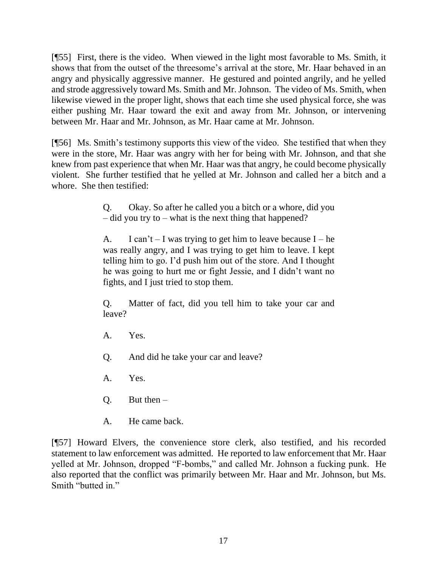[¶55] First, there is the video. When viewed in the light most favorable to Ms. Smith, it shows that from the outset of the threesome's arrival at the store, Mr. Haar behaved in an angry and physically aggressive manner. He gestured and pointed angrily, and he yelled and strode aggressively toward Ms. Smith and Mr. Johnson. The video of Ms. Smith, when likewise viewed in the proper light, shows that each time she used physical force, she was either pushing Mr. Haar toward the exit and away from Mr. Johnson, or intervening between Mr. Haar and Mr. Johnson, as Mr. Haar came at Mr. Johnson.

[¶56] Ms. Smith's testimony supports this view of the video. She testified that when they were in the store, Mr. Haar was angry with her for being with Mr. Johnson, and that she knew from past experience that when Mr. Haar was that angry, he could become physically violent. She further testified that he yelled at Mr. Johnson and called her a bitch and a whore. She then testified:

> Q. Okay. So after he called you a bitch or a whore, did you  $-$  did you try to  $-$  what is the next thing that happened?

> A. I can't  $-$  I was trying to get him to leave because I – he was really angry, and I was trying to get him to leave. I kept telling him to go. I'd push him out of the store. And I thought he was going to hurt me or fight Jessie, and I didn't want no fights, and I just tried to stop them.

> Q. Matter of fact, did you tell him to take your car and leave?

- A. Yes.
- Q. And did he take your car and leave?
- A. Yes.
- $Q.$  But then  $-$
- A. He came back.

[¶57] Howard Elvers, the convenience store clerk, also testified, and his recorded statement to law enforcement was admitted. He reported to law enforcement that Mr. Haar yelled at Mr. Johnson, dropped "F-bombs," and called Mr. Johnson a fucking punk. He also reported that the conflict was primarily between Mr. Haar and Mr. Johnson, but Ms. Smith "butted in."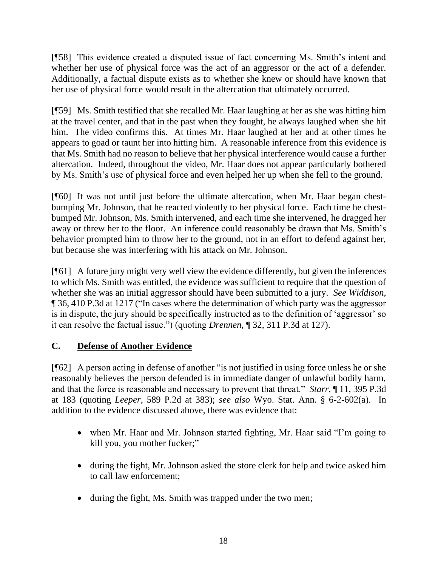[¶58] This evidence created a disputed issue of fact concerning Ms. Smith's intent and whether her use of physical force was the act of an aggressor or the act of a defender. Additionally, a factual dispute exists as to whether she knew or should have known that her use of physical force would result in the altercation that ultimately occurred.

[¶59] Ms. Smith testified that she recalled Mr. Haar laughing at her as she was hitting him at the travel center, and that in the past when they fought, he always laughed when she hit him. The video confirms this. At times Mr. Haar laughed at her and at other times he appears to goad or taunt her into hitting him. A reasonable inference from this evidence is that Ms. Smith had no reason to believe that her physical interference would cause a further altercation. Indeed, throughout the video, Mr. Haar does not appear particularly bothered by Ms. Smith's use of physical force and even helped her up when she fell to the ground.

[¶60] It was not until just before the ultimate altercation, when Mr. Haar began chestbumping Mr. Johnson, that he reacted violently to her physical force. Each time he chestbumped Mr. Johnson, Ms. Smith intervened, and each time she intervened, he dragged her away or threw her to the floor. An inference could reasonably be drawn that Ms. Smith's behavior prompted him to throw her to the ground, not in an effort to defend against her, but because she was interfering with his attack on Mr. Johnson.

[¶61] A future jury might very well view the evidence differently, but given the inferences to which Ms. Smith was entitled, the evidence was sufficient to require that the question of whether she was an initial aggressor should have been submitted to a jury. *See Widdison*, ¶ 36, 410 P.3d at 1217 ("In cases where the determination of which party was the aggressor is in dispute, the jury should be specifically instructed as to the definition of 'aggressor' so it can resolve the factual issue.") (quoting *Drennen*, ¶ 32, 311 P.3d at 127).

## **C. Defense of Another Evidence**

[¶62] A person acting in defense of another "is not justified in using force unless he or she reasonably believes the person defended is in immediate danger of unlawful bodily harm, and that the force is reasonable and necessary to prevent that threat." *Starr*, ¶ 11, 395 P.3d at 183 (quoting *Leeper*, 589 P.2d at 383); *see also* Wyo. Stat. Ann. § 6-2-602(a). In addition to the evidence discussed above, there was evidence that:

- when Mr. Haar and Mr. Johnson started fighting, Mr. Haar said "I'm going to kill you, you mother fucker;"
- during the fight, Mr. Johnson asked the store clerk for help and twice asked him to call law enforcement;
- during the fight, Ms. Smith was trapped under the two men;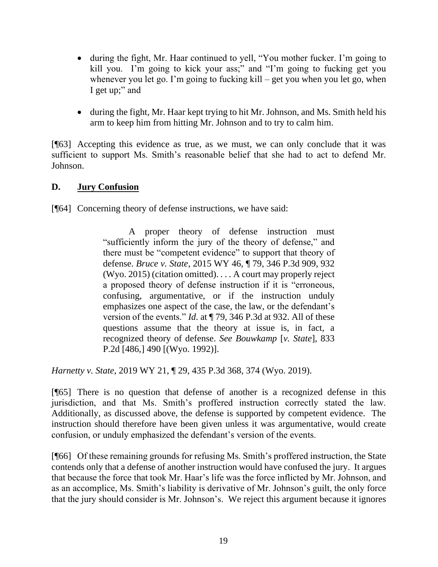- during the fight, Mr. Haar continued to yell, "You mother fucker. I'm going to kill you. I'm going to kick your ass;" and "I'm going to fucking get you whenever you let go. I'm going to fucking kill – get you when you let go, when I get up;" and
- during the fight, Mr. Haar kept trying to hit Mr. Johnson, and Ms. Smith held his arm to keep him from hitting Mr. Johnson and to try to calm him.

[¶63] Accepting this evidence as true, as we must, we can only conclude that it was sufficient to support Ms. Smith's reasonable belief that she had to act to defend Mr. Johnson.

### **D. Jury Confusion**

[¶64] Concerning theory of defense instructions, we have said:

A proper theory of defense instruction must "sufficiently inform the jury of the theory of defense," and there must be "competent evidence" to support that theory of defense. *Bruce v. State*[, 2015 WY 46, ¶ 79, 346 P.3d 909, 932](http://www.westlaw.com/Link/Document/FullText?findType=Y&serNum=2035689949&pubNum=0004645&originatingDoc=I97984d903aea11e987fd8441446aa305&refType=RP&fi=co_pp_sp_4645_932&originationContext=document&vr=3.0&rs=cblt1.0&transitionType=DocumentItem&contextData=(sc.Default)#co_pp_sp_4645_932)  [\(Wyo. 2015\)](http://www.westlaw.com/Link/Document/FullText?findType=Y&serNum=2035689949&pubNum=0004645&originatingDoc=I97984d903aea11e987fd8441446aa305&refType=RP&fi=co_pp_sp_4645_932&originationContext=document&vr=3.0&rs=cblt1.0&transitionType=DocumentItem&contextData=(sc.Default)#co_pp_sp_4645_932) (citation omitted). . . . A court may properly reject a proposed theory of defense instruction if it is "erroneous, confusing, argumentative, or if the instruction unduly emphasizes one aspect of the case, the law, or the defendant's version of the events." *Id*[. at ¶ 79, 346 P.3d at 932.](http://www.westlaw.com/Link/Document/FullText?findType=Y&serNum=2035689949&pubNum=0004645&originatingDoc=I97984d903aea11e987fd8441446aa305&refType=RP&fi=co_pp_sp_4645_932&originationContext=document&vr=3.0&rs=cblt1.0&transitionType=DocumentItem&contextData=(sc.Default)#co_pp_sp_4645_932) All of these questions assume that the theory at issue is, in fact, a recognized theory of defense. *See [Bouwkamp](http://www.westlaw.com/Link/Document/FullText?findType=Y&serNum=1992100037&pubNum=0000661&originatingDoc=I97984d903aea11e987fd8441446aa305&refType=RP&fi=co_pp_sp_661_490&originationContext=document&vr=3.0&rs=cblt1.0&transitionType=DocumentItem&contextData=(sc.Default)#co_pp_sp_661_490)* [*v. State*], 833 P.2d [\[486,\]](http://www.westlaw.com/Link/Document/FullText?findType=Y&serNum=1992100037&pubNum=0000661&originatingDoc=I97984d903aea11e987fd8441446aa305&refType=RP&fi=co_pp_sp_661_490&originationContext=document&vr=3.0&rs=cblt1.0&transitionType=DocumentItem&contextData=(sc.Default)#co_pp_sp_661_490) 490 [(Wyo. 1992)].

*Harnetty v. State*, 2019 WY 21, ¶ 29, 435 P.3d 368, 374 (Wyo. 2019).

[¶65] There is no question that defense of another is a recognized defense in this jurisdiction, and that Ms. Smith's proffered instruction correctly stated the law. Additionally, as discussed above, the defense is supported by competent evidence. The instruction should therefore have been given unless it was argumentative, would create confusion, or unduly emphasized the defendant's version of the events.

[¶66] Of these remaining grounds for refusing Ms. Smith's proffered instruction, the State contends only that a defense of another instruction would have confused the jury. It argues that because the force that took Mr. Haar's life was the force inflicted by Mr. Johnson, and as an accomplice, Ms. Smith's liability is derivative of Mr. Johnson's guilt, the only force that the jury should consider is Mr. Johnson's. We reject this argument because it ignores